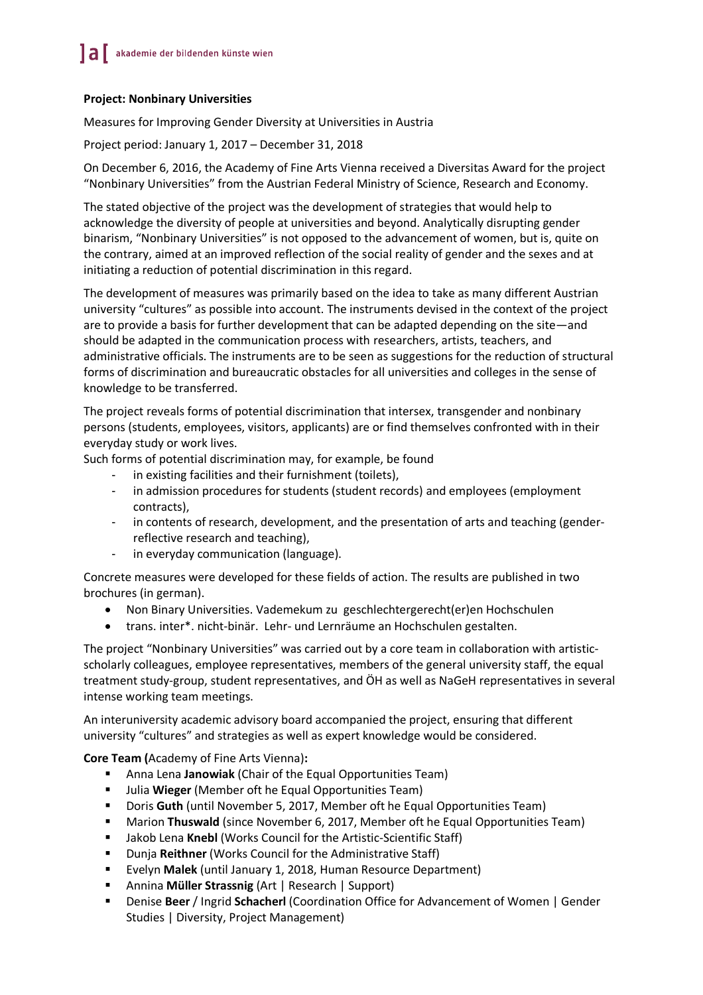## **Project: Nonbinary Universities**

Measures for Improving Gender Diversity at Universities in Austria

Project period: January 1, 2017 – December 31, 2018

On December 6, 2016, the Academy of Fine Arts Vienna received a Diversitas Award for the project "Nonbinary Universities" from the Austrian Federal Ministry of Science, Research and Economy.

The stated objective of the project was the development of strategies that would help to acknowledge the diversity of people at universities and beyond. Analytically disrupting gender binarism, "Nonbinary Universities" is not opposed to the advancement of women, but is, quite on the contrary, aimed at an improved reflection of the social reality of gender and the sexes and at initiating a reduction of potential discrimination in this regard.

The development of measures was primarily based on the idea to take as many different Austrian university "cultures" as possible into account. The instruments devised in the context of the project are to provide a basis for further development that can be adapted depending on the site—and should be adapted in the communication process with researchers, artists, teachers, and administrative officials. The instruments are to be seen as suggestions for the reduction of structural forms of discrimination and bureaucratic obstacles for all universities and colleges in the sense of knowledge to be transferred.

The project reveals forms of potential discrimination that intersex, transgender and nonbinary persons (students, employees, visitors, applicants) are or find themselves confronted with in their everyday study or work lives.

Such forms of potential discrimination may, for example, be found

- in existing facilities and their furnishment (toilets),
- in admission procedures for students (student records) and employees (employment contracts),
- in contents of research, development, and the presentation of arts and teaching (genderreflective research and teaching),
- in everyday communication (language).

Concrete measures were developed for these fields of action. The results are published in two brochures (in german).

- Non Binary Universities. Vademekum zu geschlechtergerecht(er)en Hochschulen
- trans. inter\*. nicht-binär. Lehr- und Lernräume an Hochschulen gestalten.

The project "Nonbinary Universities" was carried out by a core team in collaboration with artisticscholarly colleagues, employee representatives, members of the general university staff, the equal treatment study-group, student representatives, and ÖH as well as NaGeH representatives in several intense working team meetings.

An interuniversity academic advisory board accompanied the project, ensuring that different university "cultures" and strategies as well as expert knowledge would be considered.

**Core Team (**Academy of Fine Arts Vienna)**:**

- § Anna Lena **Janowiak** (Chair of the Equal Opportunities Team)
- § Julia **Wieger** (Member oft he Equal Opportunities Team)
- Doris Guth (until November 5, 2017, Member oft he Equal Opportunities Team)
- **Marion Thuswald** (since November 6, 2017, Member oft he Equal Opportunities Team)
- **E** Jakob Lena Knebl (Works Council for the Artistic-Scientific Staff)
- § Dunja **Reithner** (Works Council for the Administrative Staff)
- § Evelyn **Malek** (until January 1, 2018, Human Resource Department)
- § Annina **Müller Strassnig** (Art | Research | Support)
- § Denise **Beer** / Ingrid **Schacherl** (Coordination Office for Advancement of Women | Gender Studies | Diversity, Project Management)